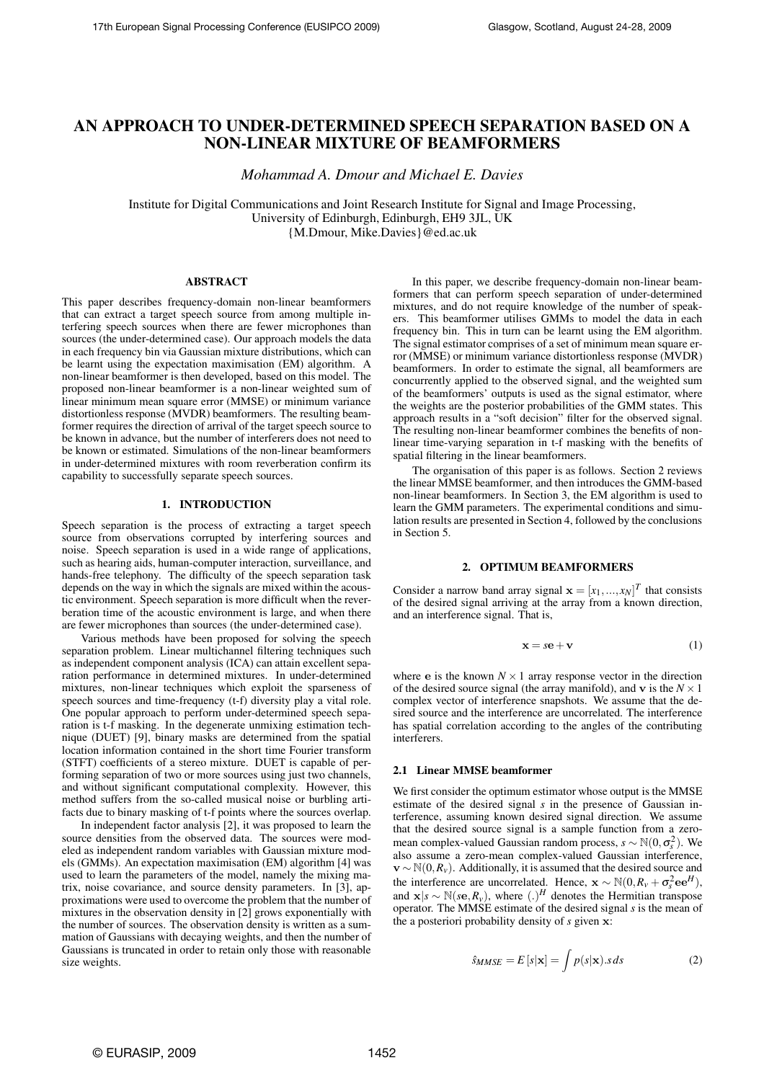# **AN APPROACH TO UNDER-DETERMINED SPEECH SEPARATION BASED ON A NON-LINEAR MIXTURE OF BEAMFORMERS**

*Mohammad A. Dmour and Michael E. Davies*

Institute for Digital Communications and Joint Research Institute for Signal and Image Processing, University of Edinburgh, Edinburgh, EH9 3JL, UK {M.Dmour, Mike.Davies}@ed.ac.uk

## **ABSTRACT**

This paper describes frequency-domain non-linear beamformers that can extract a target speech source from among multiple interfering speech sources when there are fewer microphones than sources (the under-determined case). Our approach models the data in each frequency bin via Gaussian mixture distributions, which can be learnt using the expectation maximisation (EM) algorithm. A non-linear beamformer is then developed, based on this model. The proposed non-linear beamformer is a non-linear weighted sum of linear minimum mean square error (MMSE) or minimum variance distortionless response (MVDR) beamformers. The resulting beamformer requires the direction of arrival of the target speech source to be known in advance, but the number of interferers does not need to be known or estimated. Simulations of the non-linear beamformers in under-determined mixtures with room reverberation confirm its capability to successfully separate speech sources.

## **1. INTRODUCTION**

Speech separation is the process of extracting a target speech source from observations corrupted by interfering sources and noise. Speech separation is used in a wide range of applications, such as hearing aids, human-computer interaction, surveillance, and hands-free telephony. The difficulty of the speech separation task depends on the way in which the signals are mixed within the acoustic environment. Speech separation is more difficult when the reverberation time of the acoustic environment is large, and when there are fewer microphones than sources (the under-determined case).

Various methods have been proposed for solving the speech separation problem. Linear multichannel filtering techniques such as independent component analysis (ICA) can attain excellent separation performance in determined mixtures. In under-determined mixtures, non-linear techniques which exploit the sparseness of speech sources and time-frequency (t-f) diversity play a vital role. One popular approach to perform under-determined speech separation is t-f masking. In the degenerate unmixing estimation technique (DUET) [9], binary masks are determined from the spatial location information contained in the short time Fourier transform (STFT) coefficients of a stereo mixture. DUET is capable of performing separation of two or more sources using just two channels, and without significant computational complexity. However, this method suffers from the so-called musical noise or burbling artifacts due to binary masking of t-f points where the sources overlap.

In independent factor analysis [2], it was proposed to learn the source densities from the observed data. The sources were modeled as independent random variables with Gaussian mixture models (GMMs). An expectation maximisation (EM) algorithm [4] was used to learn the parameters of the model, namely the mixing matrix, noise covariance, and source density parameters. In [3], approximations were used to overcome the problem that the number of mixtures in the observation density in [2] grows exponentially with the number of sources. The observation density is written as a summation of Gaussians with decaying weights, and then the number of Gaussians is truncated in order to retain only those with reasonable size weights.

In this paper, we describe frequency-domain non-linear beamformers that can perform speech separation of under-determined mixtures, and do not require knowledge of the number of speakers. This beamformer utilises GMMs to model the data in each frequency bin. This in turn can be learnt using the EM algorithm. The signal estimator comprises of a set of minimum mean square error (MMSE) or minimum variance distortionless response (MVDR) beamformers. In order to estimate the signal, all beamformers are concurrently applied to the observed signal, and the weighted sum of the beamformers' outputs is used as the signal estimator, where the weights are the posterior probabilities of the GMM states. This approach results in a "soft decision" filter for the observed signal. The resulting non-linear beamformer combines the benefits of nonlinear time-varying separation in t-f masking with the benefits of spatial filtering in the linear beamformers.

The organisation of this paper is as follows. Section 2 reviews the linear MMSE beamformer, and then introduces the GMM-based non-linear beamformers. In Section 3, the EM algorithm is used to learn the GMM parameters. The experimental conditions and simulation results are presented in Section 4, followed by the conclusions in Section 5.

## **2. OPTIMUM BEAMFORMERS**

Consider a narrow band array signal  $\mathbf{x} = [x_1, ..., x_N]^T$  that consists of the desired signal arriving at the array from a known direction, and an interference signal. That is,

$$
\mathbf{x} = s\mathbf{e} + \mathbf{v} \tag{1}
$$

where e is the known  $N \times 1$  array response vector in the direction of the desired source signal (the array manifold), and **v** is the  $N \times 1$ complex vector of interference snapshots. We assume that the desired source and the interference are uncorrelated. The interference has spatial correlation according to the angles of the contributing interferers.

#### **2.1 Linear MMSE beamformer**

We first consider the optimum estimator whose output is the MMSE estimate of the desired signal *s* in the presence of Gaussian interference, assuming known desired signal direction. We assume that the desired source signal is a sample function from a zeromean complex-valued Gaussian random process,  $s \sim \mathbb{N}(0, \sigma_s^2)$ . We also assume a zero-mean complex-valued Gaussian interference,  $\mathbf{v} \sim \mathbb{N}(0, R_v)$ . Additionally, it is assumed that the desired source and the interference are uncorrelated. Hence,  $\mathbf{x} \sim \mathbb{N}(0, R_v + \sigma_s^2 \mathbf{e} \mathbf{e}^H)$ , and  $\mathbf{x}|s \sim \mathbb{N}(s\mathbf{e}, R_v)$ , where  $(.)^H$  denotes the Hermitian transpose operator. The MMSE estimate of the desired signal *s* is the mean of the a posteriori probability density of *s* given x:

$$
\hat{s}_{MMSE} = E\left[s|\mathbf{x}\right] = \int p(s|\mathbf{x}).s \, ds \tag{2}
$$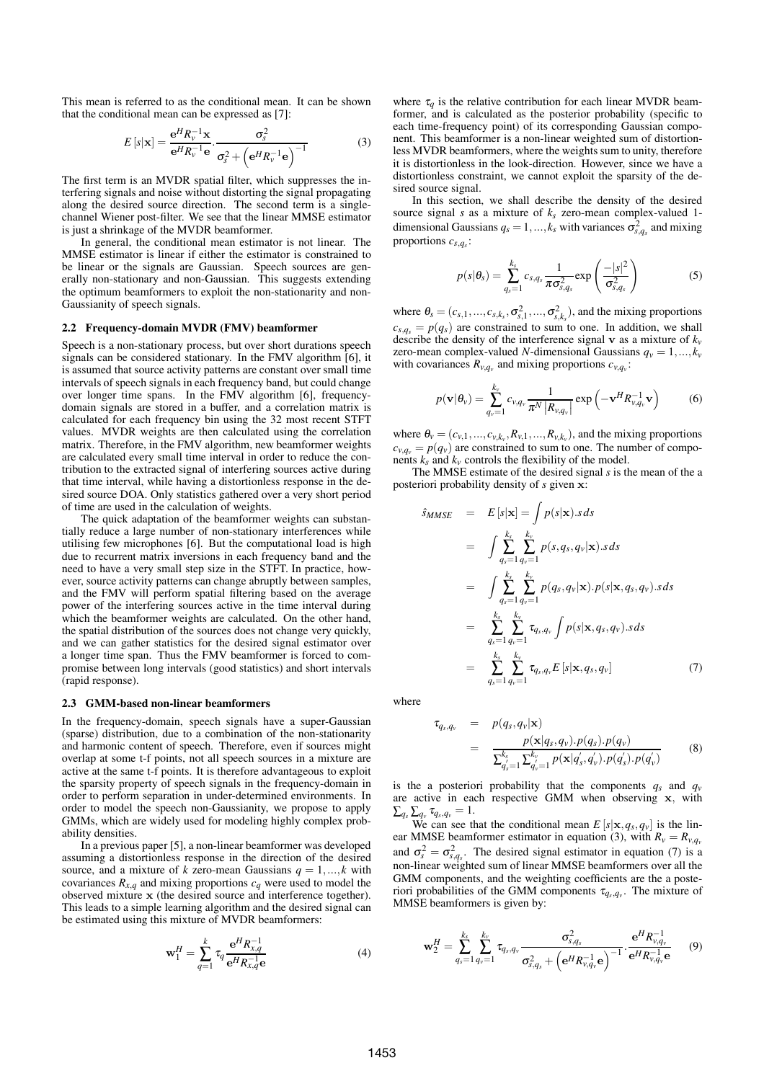This mean is referred to as the conditional mean. It can be shown that the conditional mean can be expressed as [7]:

$$
E\left[s\left|\mathbf{x}\right.\right] = \frac{\mathbf{e}^H R_v^{-1} \mathbf{x}}{\mathbf{e}^H R_v^{-1} \mathbf{e}} \cdot \frac{\sigma_s^2}{\sigma_s^2 + \left(\mathbf{e}^H R_v^{-1} \mathbf{e}\right)^{-1}}\tag{3}
$$

The first term is an MVDR spatial filter, which suppresses the interfering signals and noise without distorting the signal propagating along the desired source direction. The second term is a singlechannel Wiener post-filter. We see that the linear MMSE estimator is just a shrinkage of the MVDR beamformer.

In general, the conditional mean estimator is not linear. The MMSE estimator is linear if either the estimator is constrained to be linear or the signals are Gaussian. Speech sources are generally non-stationary and non-Gaussian. This suggests extending the optimum beamformers to exploit the non-stationarity and non-Gaussianity of speech signals.

#### **2.2 Frequency-domain MVDR (FMV) beamformer**

Speech is a non-stationary process, but over short durations speech signals can be considered stationary. In the FMV algorithm [6], it is assumed that source activity patterns are constant over small time intervals of speech signals in each frequency band, but could change over longer time spans. In the FMV algorithm [6], frequencydomain signals are stored in a buffer, and a correlation matrix is calculated for each frequency bin using the 32 most recent STFT values. MVDR weights are then calculated using the correlation matrix. Therefore, in the FMV algorithm, new beamformer weights are calculated every small time interval in order to reduce the contribution to the extracted signal of interfering sources active during that time interval, while having a distortionless response in the desired source DOA. Only statistics gathered over a very short period of time are used in the calculation of weights.

The quick adaptation of the beamformer weights can substantially reduce a large number of non-stationary interferences while utilising few microphones [6]. But the computational load is high due to recurrent matrix inversions in each frequency band and the need to have a very small step size in the STFT. In practice, however, source activity patterns can change abruptly between samples, and the FMV will perform spatial filtering based on the average power of the interfering sources active in the time interval during which the beamformer weights are calculated. On the other hand, the spatial distribution of the sources does not change very quickly, and we can gather statistics for the desired signal estimator over a longer time span. Thus the FMV beamformer is forced to compromise between long intervals (good statistics) and short intervals (rapid response).

#### **2.3 GMM-based non-linear beamformers**

In the frequency-domain, speech signals have a super-Gaussian (sparse) distribution, due to a combination of the non-stationarity and harmonic content of speech. Therefore, even if sources might overlap at some t-f points, not all speech sources in a mixture are active at the same t-f points. It is therefore advantageous to exploit the sparsity property of speech signals in the frequency-domain in order to perform separation in under-determined environments. In order to model the speech non-Gaussianity, we propose to apply GMMs, which are widely used for modeling highly complex probability densities.

In a previous paper [5], a non-linear beamformer was developed assuming a distortionless response in the direction of the desired source, and a mixture of *k* zero-mean Gaussians  $q = 1, ..., k$  with covariances  $R_{x,q}$  and mixing proportions  $c_q$  were used to model the observed mixture x (the desired source and interference together). This leads to a simple learning algorithm and the desired signal can be estimated using this mixture of MVDR beamformers:

$$
\mathbf{w}_1^H = \sum_{q=1}^k \tau_q \frac{\mathbf{e}^H R_{x,q}^{-1}}{\mathbf{e}^H R_{x,q}^{-1} \mathbf{e}} \tag{4}
$$

where  $\tau_q$  is the relative contribution for each linear MVDR beamformer, and is calculated as the posterior probability (specific to each time-frequency point) of its corresponding Gaussian component. This beamformer is a non-linear weighted sum of distortionless MVDR beamformers, where the weights sum to unity, therefore it is distortionless in the look-direction. However, since we have a distortionless constraint, we cannot exploit the sparsity of the desired source signal.

In this section, we shall describe the density of the desired source signal *s* as a mixture of *ks* zero-mean complex-valued 1 dimensional Gaussians  $q_s = 1, ..., k_s$  with variances  $\sigma_{s,q_s}^2$  and mixing proportions *cs*,*q<sup>s</sup>* :

$$
p(s|\theta_s) = \sum_{q_s=1}^{k_s} c_{s,q_s} \frac{1}{\pi \sigma_{s,q_s}^2} \exp\left(\frac{-|s|^2}{\sigma_{s,q_s}^2}\right)
$$
(5)

where  $\theta_s = (c_{s,1},...,c_{s,k_s}, \sigma_{s,1}^2,..., \sigma_{s,k_s}^2)$ , and the mixing proportions  $c_{s,q_s} = p(q_s)$  are constrained to sum to one. In addition, we shall describe the density of the interference signal **v** as a mixture of  $k<sub>v</sub>$ zero-mean complex-valued *N*-dimensional Gaussians  $q_v = 1, ..., k_v$ with covariances  $R_{v,q_v}$  and mixing proportions  $c_{v,q_v}$ :

$$
p(\mathbf{v}|\theta_{v}) = \sum_{q_{v}=1}^{k_{v}} c_{v,q_{v}} \frac{1}{\pi^{N} |R_{v,q_{v}}|} \exp\left(-\mathbf{v}^{H} R_{v,q_{v}}^{-1} \mathbf{v}\right)
$$
(6)

where  $\theta_v = (c_{v,1}, \ldots, c_{v,k_v}, R_{v,1}, \ldots, R_{v,k_v})$ , and the mixing proportions  $c_{v,q_v} = p(q_v)$  are constrained to sum to one. The number of components  $k_s$  and  $k_v$  controls the flexibility of the model.

The MMSE estimate of the desired signal *s* is the mean of the a posteriori probability density of *s* given x:

$$
\hat{s}_{MMSE} = E[s|\mathbf{x}] = \int p(s|\mathbf{x}).s ds \n= \int \sum_{q_s=1}^{k_s} \sum_{q_v=1}^{k_v} p(s, q_s, q_v | \mathbf{x}).s ds \n= \int \sum_{q_s=1}^{k_s} \sum_{q_v=1}^{k_v} p(q_s, q_v | \mathbf{x}).p(s|\mathbf{x}, q_s, q_v).s ds \n= \sum_{q_s=1}^{k_s} \sum_{q_v=1}^{k_v} \tau_{q_s, q_v} \int p(s|\mathbf{x}, q_s, q_v).s ds \n= \sum_{q_s=1}^{k_s} \sum_{q_v=1}^{k_v} \tau_{q_s, q_v} E[s|\mathbf{x}, q_s, q_v]
$$
\n(7)

where

$$
\tau_{q_s, q_v} = p(q_s, q_v | \mathbf{x}) \n= \frac{p(\mathbf{x}|q_s, q_v).p(q_s).p(q_v)}{\sum_{q_s'=1}^{k_s} \sum_{q_v=1}^{k_v} p(\mathbf{x}|q_s', q_v').p(q_s').p(q_v')} \qquad (8)
$$

is the a posteriori probability that the components  $q_s$  and  $q_v$ are active in each respective GMM when observing x, with  $\sum_{q_s} \sum_{q_v} \tau_{q_s, q_v} = 1.$ 

We can see that the conditional mean  $E[s|\mathbf{x}, q_s, q_v]$  is the linear MMSE beamformer estimator in equation (3), with  $R_v = R_{v,q_v}$ and  $\sigma_s^2 = \sigma_{s,q_s}^2$ . The desired signal estimator in equation (7) is a non-linear weighted sum of linear MMSE beamformers over all the GMM components, and the weighting coefficients are the a posteriori probabilities of the GMM components  $\tau_{q_s,q_v}$ . The mixture of MMSE beamformers is given by:

$$
\mathbf{w}_2^H = \sum_{q_s=1}^{k_s} \sum_{q_v=1}^{k_v} \tau_{q_s, q_v} \frac{\sigma_{s,q_s}^2}{\sigma_{s,q_s}^2 + \left(e^H R_{v,q_v}^{-1} \mathbf{e}\right)^{-1} \cdot \frac{e^H R_{v,q_v}^{-1}}{e^H R_{v,q_v}^{-1} \mathbf{e}} \qquad (9)
$$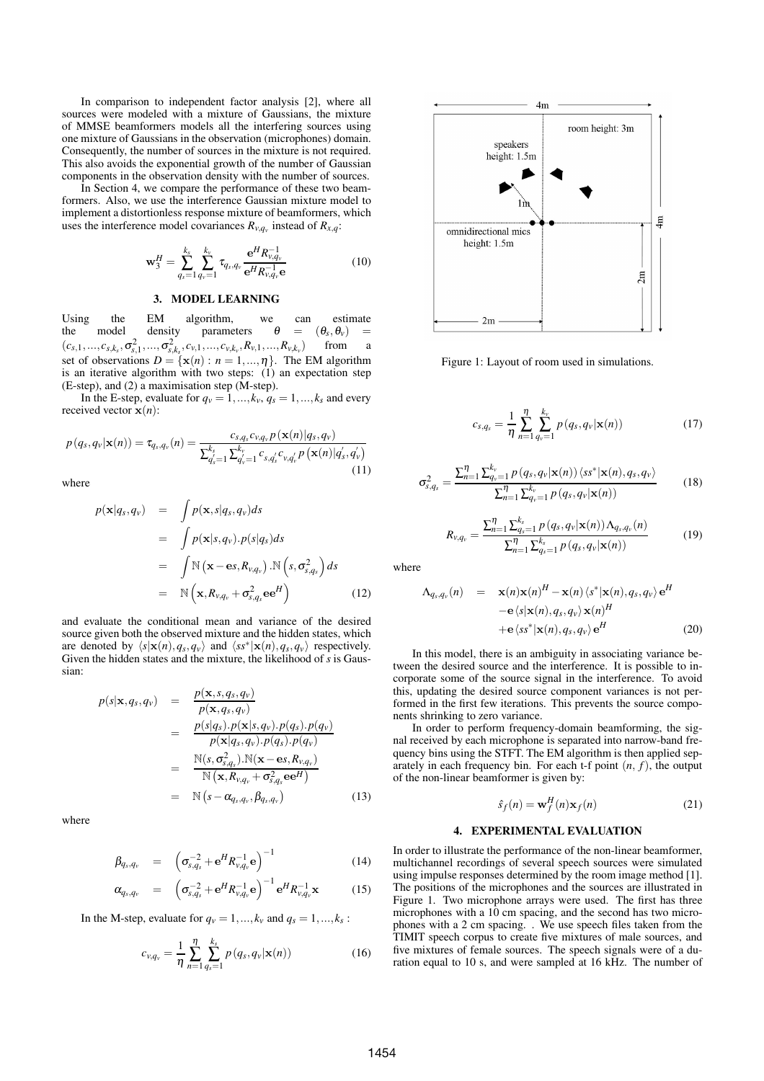In comparison to independent factor analysis [2], where all sources were modeled with a mixture of Gaussians, the mixture of MMSE beamformers models all the interfering sources using one mixture of Gaussians in the observation (microphones) domain. Consequently, the number of sources in the mixture is not required. This also avoids the exponential growth of the number of Gaussian components in the observation density with the number of sources.

In Section 4, we compare the performance of these two beamformers. Also, we use the interference Gaussian mixture model to implement a distortionless response mixture of beamformers, which uses the interference model covariances  $R_{v,q_v}$  instead of  $R_{x,q}$ :

$$
\mathbf{w}_3^H = \sum_{q_s=1}^{k_s} \sum_{q_v=1}^{k_v} \tau_{q_s, q_v} \frac{\mathbf{e}^H R_{v,q_v}^{-1}}{\mathbf{e}^H R_{v,q_v}^{-1} \mathbf{e}}
$$
(10)

### **3. MODEL LEARNING**

Using the EM algorithm, we can estimate<br>the model density parameters  $\theta = (\theta_s, \theta_v)$ the model density parameters  $\theta = (\theta_s, \theta_v)$  =  $(c_{s,1},...,c_{s,k_s},\sigma_{s,1}^2,...,\sigma_{s,k_s}^2,c_{v,1},...,c_{v,k_v},R_{v,1},...,R_{v,k_v})$ from a set of observations  $D = \{x(n) : n = 1, ..., n\}$ . The EM algorithm is an iterative algorithm with two steps: (1) an expectation step  $(E-step)$ , and  $(2)$  a maximisation step  $(M-step)$ .

In the E-step, evaluate for  $q_v = 1, ..., k_v, q_s = 1, ..., k_s$  and every received vector  $\mathbf{x}(n)$ :

$$
p(q_s, q_v | \mathbf{x}(n)) = \tau_{q_s, q_v}(n) = \frac{c_{s,q_s}c_{v,q_v}p(\mathbf{x}(n)|q_s, q_v)}{\sum_{q_s'=1}^{k_s} \sum_{q_v'=1}^{k_v} c_{s,q_s'}c_{v,q_v'}p(\mathbf{x}(n)|q_s', q_v')} \tag{11}
$$

where

$$
p(\mathbf{x}|q_s, q_v) = \int p(\mathbf{x}, s|q_s, q_v) ds
$$
  
\n
$$
= \int p(\mathbf{x}|s, q_v) \cdot p(s|q_s) ds
$$
  
\n
$$
= \int \mathbb{N} (\mathbf{x} - \mathbf{e}s, R_{v,q_v}) \cdot \mathbb{N} (s, \sigma_{s,q_s}^2) ds
$$
  
\n
$$
= \mathbb{N} (\mathbf{x}, R_{v,q_v} + \sigma_{s,q_s}^2 \mathbf{e} \mathbf{e}^H)
$$
(12)

and evaluate the conditional mean and variance of the desired source given both the observed mixture and the hidden states, which are denoted by  $\langle s | \mathbf{x}(n), q_s, q_v \rangle$  and  $\langle s s^* | \mathbf{x}(n), q_s, q_v \rangle$  respectively. Given the hidden states and the mixture, the likelihood of *s* is Gaussian:

$$
p(s|\mathbf{x}, q_s, q_v) = \frac{p(\mathbf{x}, s, q_s, q_v)}{p(\mathbf{x}, q_s, q_v)}
$$
  
\n
$$
= \frac{p(s|q_s) \cdot p(\mathbf{x}|s, q_v) \cdot p(q_s) \cdot p(q_v)}{p(\mathbf{x}|q_s, q_v) \cdot p(q_s) \cdot p(q_v)}
$$
  
\n
$$
= \frac{N(s, \sigma_{s,q_s}^2) \cdot N(\mathbf{x} - \mathbf{e}s, R_{v,q_v})}{N(\mathbf{x}, R_{v,q_v} + \sigma_{s,q_s}^2 \mathbf{e} \mathbf{e}^H)}
$$
  
\n
$$
= N(s - \alpha_{q_s,q_v}, \beta_{q_s,q_v}) \qquad (13)
$$

where

$$
\beta_{q_s, q_v} = \left( \sigma_{s,q_s}^{-2} + e^H R_{v,q_v}^{-1} e \right)^{-1}
$$
\n(14)

$$
\alpha_{q_s, q_v} = \left( \sigma_{s, q_s}^{-2} + e^H R_{v, q_v}^{-1} e \right)^{-1} e^H R_{v, q_v}^{-1} \mathbf{x}
$$
 (15)

In the M-step, evaluate for  $q_v = 1, ..., k_v$  and  $q_s = 1, ..., k_s$ :

$$
c_{v,q_v} = \frac{1}{\eta} \sum_{n=1}^{\eta} \sum_{q_s=1}^{k_s} p(q_s, q_v | \mathbf{x}(n))
$$
 (16)



Figure 1: Layout of room used in simulations.

$$
c_{s,q_s} = \frac{1}{\eta} \sum_{n=1}^{\eta} \sum_{q_v=1}^{k_v} p(q_s, q_v | \mathbf{x}(n))
$$
 (17)

$$
\sigma_{s,q_s}^2 = \frac{\sum_{n=1}^{\eta} \sum_{q_v=1}^{k_v} p(q_s, q_v | \mathbf{x}(n)) \langle s s^* | \mathbf{x}(n), q_s, q_v \rangle}{\sum_{n=1}^{\eta} \sum_{q_v=1}^{k_v} p(q_s, q_v | \mathbf{x}(n))}
$$
(18)

$$
R_{v,q_v} = \frac{\sum_{n=1}^{n} \sum_{q_s=1}^{k_s} p(q_s, q_v | \mathbf{x}(n)) \Lambda_{q_s, q_v}(n)}{\sum_{n=1}^{n} \sum_{q_s=1}^{k_s} p(q_s, q_v | \mathbf{x}(n))}
$$
(19)

where

$$
\Lambda_{q_s, q_v}(n) = \mathbf{x}(n)\mathbf{x}(n)^H - \mathbf{x}(n)\langle s^*|\mathbf{x}(n), q_s, q_v\rangle e^H
$$
  
\n
$$
-e\langle s|\mathbf{x}(n), q_s, q_v\rangle \mathbf{x}(n)^H
$$
  
\n
$$
+e\langle s s^*|\mathbf{x}(n), q_s, q_v\rangle e^H
$$
 (20)

In this model, there is an ambiguity in associating variance between the desired source and the interference. It is possible to incorporate some of the source signal in the interference. To avoid this, updating the desired source component variances is not performed in the first few iterations. This prevents the source components shrinking to zero variance.

In order to perform frequency-domain beamforming, the signal received by each microphone is separated into narrow-band frequency bins using the STFT. The EM algorithm is then applied separately in each frequency bin. For each  $t$ -f point  $(n, f)$ , the output of the non-linear beamformer is given by:

$$
\hat{s}_f(n) = \mathbf{w}_f^H(n)\mathbf{x}_f(n) \tag{21}
$$

#### **4. EXPERIMENTAL EVALUATION**

In order to illustrate the performance of the non-linear beamformer, multichannel recordings of several speech sources were simulated using impulse responses determined by the room image method [1]. The positions of the microphones and the sources are illustrated in Figure 1. Two microphone arrays were used. The first has three microphones with a 10 cm spacing, and the second has two microphones with a 2 cm spacing. . We use speech files taken from the TIMIT speech corpus to create five mixtures of male sources, and five mixtures of female sources. The speech signals were of a duration equal to 10 s, and were sampled at 16 kHz. The number of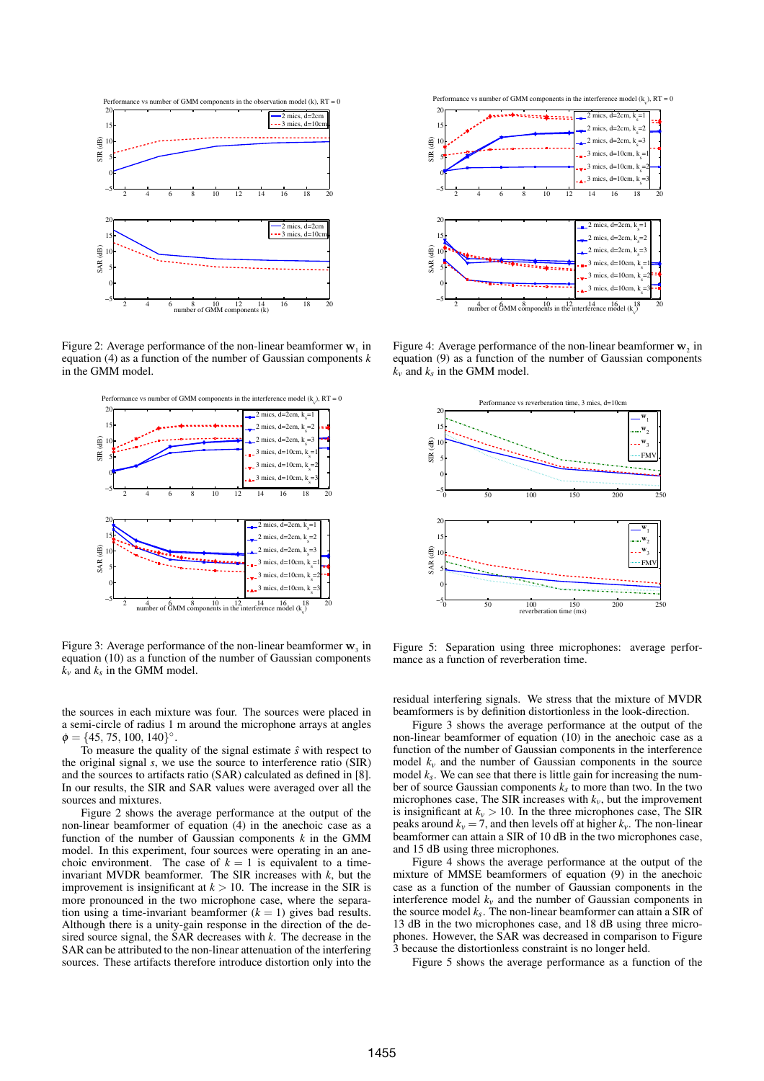

Figure 2: Average performance of the non-linear beamformer  $\mathbf{w}_1$  in equation (4) as a function of the number of Gaussian components *k* in the GMM model.



Figure 3: Average performance of the non-linear beamformer  $w_3$  in equation (10) as a function of the number of Gaussian components  $k_v$  and  $k_s$  in the GMM model.

the sources in each mixture was four. The sources were placed in a semi-circle of radius 1 m around the microphone arrays at angles  $\phi = \{45, 75, 100, 140\}^{\circ}.$ 

To measure the quality of the signal estimate  $\hat{s}$  with respect to the original signal *s*, we use the source to interference ratio (SIR) and the sources to artifacts ratio (SAR) calculated as defined in [8]. In our results, the SIR and SAR values were averaged over all the sources and mixtures.

Figure 2 shows the average performance at the output of the non-linear beamformer of equation (4) in the anechoic case as a function of the number of Gaussian components *k* in the GMM model. In this experiment, four sources were operating in an anechoic environment. The case of  $k = 1$  is equivalent to a timeinvariant MVDR beamformer. The SIR increases with *k*, but the improvement is insignificant at  $k > 10$ . The increase in the SIR is more pronounced in the two microphone case, where the separation using a time-invariant beamformer  $(k = 1)$  gives bad results. Although there is a unity-gain response in the direction of the desired source signal, the SAR decreases with *k*. The decrease in the SAR can be attributed to the non-linear attenuation of the interfering sources. These artifacts therefore introduce distortion only into the





Figure 4: Average performance of the non-linear beamformer  $w_2$  in equation (9) as a function of the number of Gaussian components  $k_v$  and  $k_s$  in the GMM model.



Figure 5: Separation using three microphones: average performance as a function of reverberation time.

residual interfering signals. We stress that the mixture of MVDR beamformers is by definition distortionless in the look-direction.

Figure 3 shows the average performance at the output of the non-linear beamformer of equation (10) in the anechoic case as a function of the number of Gaussian components in the interference model  $k<sub>v</sub>$  and the number of Gaussian components in the source model  $k_s$ . We can see that there is little gain for increasing the number of source Gaussian components  $k<sub>s</sub>$  to more than two. In the two microphones case, The SIR increases with  $k<sub>v</sub>$ , but the improvement is insignificant at  $k_v > 10$ . In the three microphones case, The SIR peaks around  $k_v = 7$ , and then levels off at higher  $k_v$ . The non-linear beamformer can attain a SIR of 10 dB in the two microphones case, and 15 dB using three microphones.

Figure 4 shows the average performance at the output of the mixture of MMSE beamformers of equation (9) in the anechoic case as a function of the number of Gaussian components in the interference model  $k<sub>v</sub>$  and the number of Gaussian components in the source model  $k_s$ . The non-linear beamformer can attain a SIR of 13 dB in the two microphones case, and 18 dB using three microphones. However, the SAR was decreased in comparison to Figure 3 because the distortionless constraint is no longer held.

Figure 5 shows the average performance as a function of the